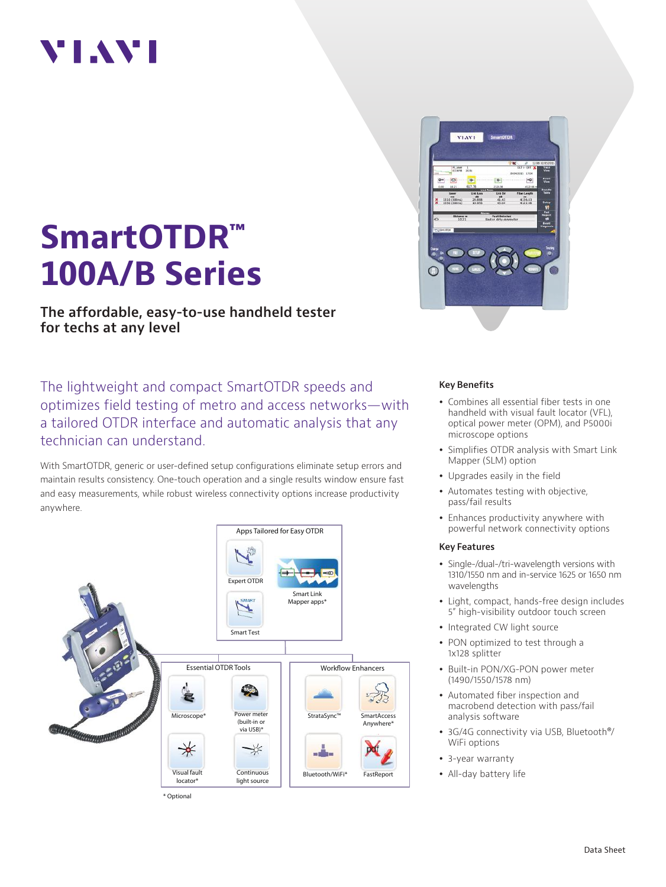# VI.WI

# **SmartOTDR™ 100A/B Series**

**The affordable, easy-to-use handheld tester for techs at any level**

The lightweight and compact SmartOTDR speeds and optimizes field testing of metro and access networks—with a tailored OTDR interface and automatic analysis that any technician can understand.

With SmartOTDR, generic or user-defined setup configurations eliminate setup errors and maintain results consistency. One-touch operation and a single results window ensure fast and easy measurements, while robust wireless connectivity options increase productivity anywhere.





#### **Key Benefits**

- Combines all essential fiber tests in one handheld with visual fault locator (VFL), optical power meter (OPM), and P5000i microscope options
- Simplifies OTDR analysis with Smart Link Mapper (SLM) option
- Upgrades easily in the field
- Automates testing with objective, pass/fail results
- Enhances productivity anywhere with powerful network connectivity options

#### **Key Features**

- Single-/dual-/tri-wavelength versions with 1310/1550 nm and in-service 1625 or 1650 nm wavelengths
- Light, compact, hands-free design includes 5" high-visibility outdoor touch screen
- Integrated CW light source
- PON optimized to test through a 1x128 splitter
- Built-in PON/XG-PON power meter (1490/1550/1578 nm)
- Automated fiber inspection and macrobend detection with pass/fail analysis software
- 3G/4G connectivity via USB, Bluetooth<sup>®</sup>/ WiFi options
- 3-year warranty
- All-day battery life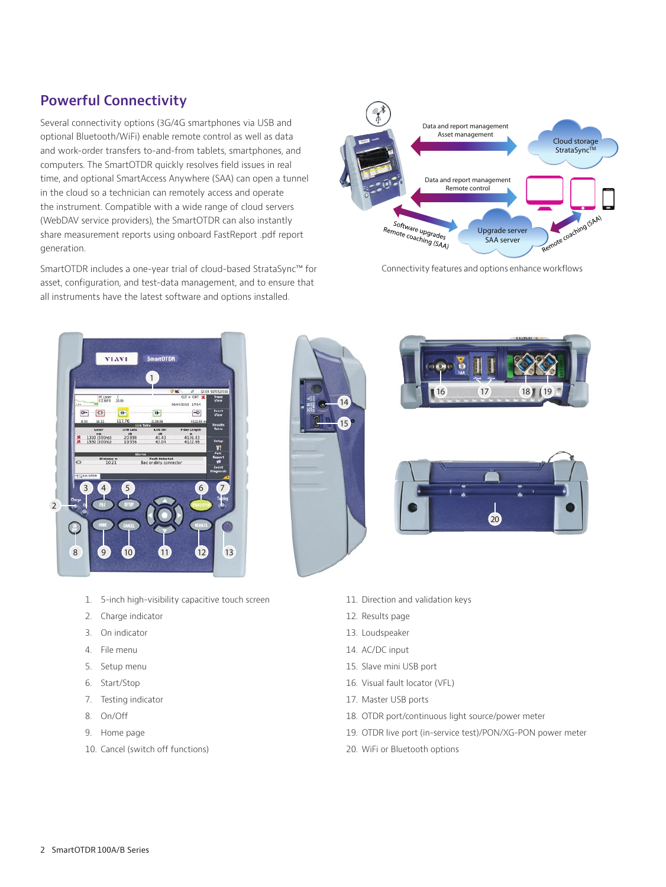### **Powerful Connectivity**

Several connectivity options (3G/4G smartphones via USB and optional Bluetooth/WiFi) enable remote control as well as data and work-order transfers to-and-from tablets, smartphones, and computers. The SmartOTDR quickly resolves field issues in real time, and optional SmartAccess Anywhere (SAA) can open a tunnel in the cloud so a technician can remotely access and operate the instrument. Compatible with a wide range of cloud servers (WebDAV service providers), the SmartOTDR can also instantly share measurement reports using onboard FastReport .pdf report generation.

SmartOTDR includes a one-year trial of cloud-based StrataSync™ for asset, configuration, and test-data management, and to ensure that all instruments have the latest software and options installed.



Connectivity features and options enhance workflows



- 1. 5-inch high-visibility capacitive touch screen
- 2. Charge indicator
- 3. On indicator
- 4. File menu
- 5. Setup menu
- 6. Start/Stop
- 7. Testing indicator
- 8. On/Off
- 9. Home page
- 10. Cancel (switch off functions)







- 11. Direction and validation keys
- 12. Results page
- 13. Loudspeaker
- 14. AC/DC input
- 15. Slave mini USB port
- 16. Visual fault locator (VFL)
- 17. Master USB ports
- 18. OTDR port/continuous light source/power meter
- 19. OTDR live port (in-service test)/PON/XG-PON power meter
- 20. WiFi or Bluetooth options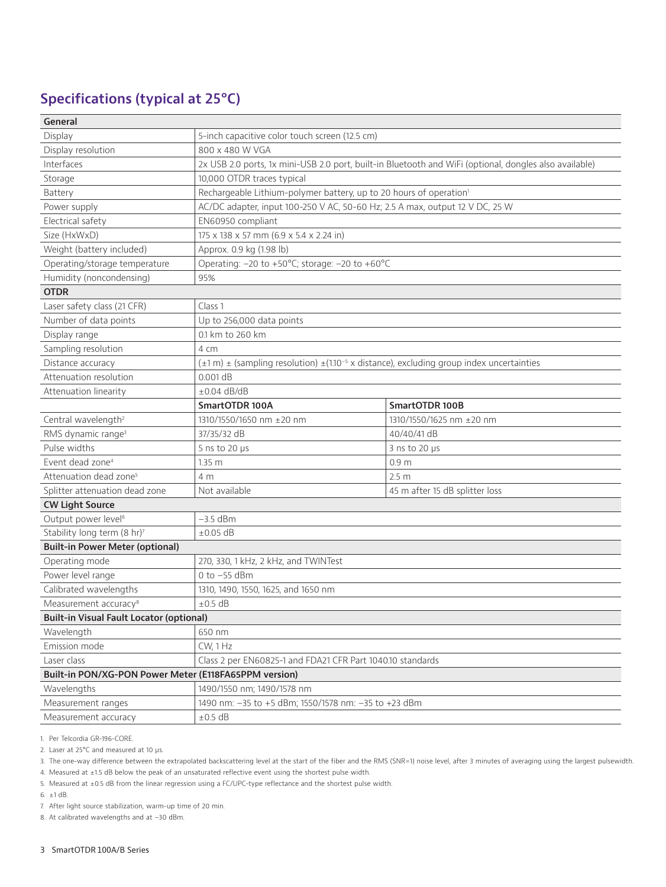## **Specifications (typical at 25°C)**

| General                                               |                                                                                                                          |                                |  |
|-------------------------------------------------------|--------------------------------------------------------------------------------------------------------------------------|--------------------------------|--|
| Display                                               | 5-inch capacitive color touch screen (12.5 cm)                                                                           |                                |  |
| Display resolution                                    | 800 x 480 W VGA                                                                                                          |                                |  |
| Interfaces                                            | 2x USB 2.0 ports, 1x mini-USB 2.0 port, built-in Bluetooth and WiFi (optional, dongles also available)                   |                                |  |
| Storage                                               | 10,000 OTDR traces typical                                                                                               |                                |  |
| Battery                                               | Rechargeable Lithium-polymer battery, up to 20 hours of operation <sup>1</sup>                                           |                                |  |
| Power supply                                          | AC/DC adapter, input 100-250 V AC, 50-60 Hz; 2.5 A max, output 12 V DC, 25 W                                             |                                |  |
| Electrical safety                                     | EN60950 compliant                                                                                                        |                                |  |
| Size (HxWxD)                                          | 175 x 138 x 57 mm (6.9 x 5.4 x 2.24 in)                                                                                  |                                |  |
| Weight (battery included)                             | Approx. 0.9 kg (1.98 lb)                                                                                                 |                                |  |
| Operating/storage temperature                         | Operating: -20 to +50°C; storage: -20 to +60°C                                                                           |                                |  |
| Humidity (noncondensing)                              | 95%                                                                                                                      |                                |  |
| <b>OTDR</b>                                           |                                                                                                                          |                                |  |
| Laser safety class (21 CFR)                           | Class 1                                                                                                                  |                                |  |
| Number of data points                                 | Up to 256,000 data points                                                                                                |                                |  |
| Display range                                         | 0.1 km to 260 km                                                                                                         |                                |  |
| Sampling resolution                                   | 4 cm                                                                                                                     |                                |  |
| Distance accuracy                                     | $(\pm 1 \text{ m}) \pm$ (sampling resolution) $\pm (1.10^{-5} \text{ x distance})$ , excluding group index uncertainties |                                |  |
| Attenuation resolution                                | $0.001$ dB                                                                                                               |                                |  |
| Attenuation linearity                                 | $\pm 0.04$ dB/dB                                                                                                         |                                |  |
|                                                       | SmartOTDR 100A                                                                                                           | SmartOTDR 100B                 |  |
| Central wavelength <sup>2</sup>                       | 1310/1550/1650 nm ±20 nm                                                                                                 | 1310/1550/1625 nm ±20 nm       |  |
| RMS dynamic range <sup>3</sup>                        | 37/35/32 dB                                                                                                              | 40/40/41 dB                    |  |
| Pulse widths                                          | 5 ns to 20 $\mu$ s                                                                                                       | $3$ ns to 20 $\mu s$           |  |
| Event dead zone <sup>4</sup>                          | $1.35$ m                                                                                                                 | 0.9 <sub>m</sub>               |  |
| Attenuation dead zone <sup>5</sup>                    | 4 m                                                                                                                      | 2.5 <sub>m</sub>               |  |
| Splitter attenuation dead zone                        | Not available                                                                                                            | 45 m after 15 dB splitter loss |  |
| <b>CW Light Source</b>                                |                                                                                                                          |                                |  |
| Output power level <sup>6</sup>                       | $-3.5$ dBm                                                                                                               |                                |  |
| Stability long term (8 hr)7                           | $\pm 0.05$ dB                                                                                                            |                                |  |
| <b>Built-in Power Meter (optional)</b>                |                                                                                                                          |                                |  |
| Operating mode                                        | 270, 330, 1 kHz, 2 kHz, and TWINTest                                                                                     |                                |  |
| Power level range                                     | $0$ to $-55$ dBm                                                                                                         |                                |  |
| Calibrated wavelengths                                | 1310, 1490, 1550, 1625, and 1650 nm                                                                                      |                                |  |
| Measurement accuracy <sup>8</sup>                     | $\pm 0.5$ dB                                                                                                             |                                |  |
| <b>Built-in Visual Fault Locator (optional)</b>       |                                                                                                                          |                                |  |
| Wavelength                                            | 650 nm                                                                                                                   |                                |  |
| Emission mode                                         | CW, 1 Hz                                                                                                                 |                                |  |
| Laser class                                           | Class 2 per EN60825-1 and FDA21 CFR Part 1040.10 standards                                                               |                                |  |
| Built-in PON/XG-PON Power Meter (E118FA65PPM version) |                                                                                                                          |                                |  |
| Wavelengths                                           | 1490/1550 nm; 1490/1578 nm                                                                                               |                                |  |
| Measurement ranges                                    | 1490 nm: -35 to +5 dBm; 1550/1578 nm: -35 to +23 dBm                                                                     |                                |  |
| Measurement accuracy                                  | $\pm 0.5$ dB                                                                                                             |                                |  |

1. Per Telcordia GR-196-CORE.

2. Laser at 25°C and measured at 10 µs.

3. The one-way difference between the extrapolated backscattering level at the start of the fiber and the RMS (SNR=1) noise level, after 3 minutes of averaging using the largest pulsewidth.

4. Measured at ±1.5 dB below the peak of an unsaturated reflective event using the shortest pulse width.

5. Measured at ±0.5 dB from the linear regression using a FC/UPC-type reflectance and the shortest pulse width.

6. ±1 dB.

7. After light source stabilization, warm-up time of 20 min.

8. At calibrated wavelengths and at –30 dBm.